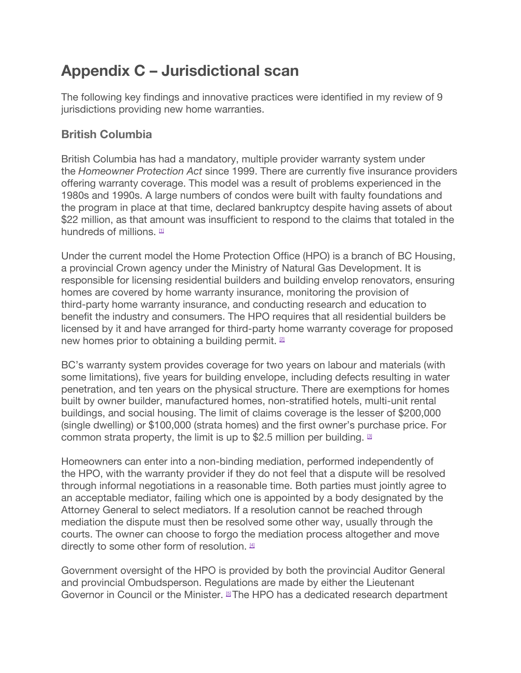# **Appendix C – Jurisdictional scan**

The following key findings and innovative practices were identified in my review of 9 jurisdictions providing new home warranties.

# **British Columbia**

British Columbia has had a mandatory, multiple provider warranty system under the *Homeowner Protection Act* since 1999. There are currently five insurance providers offering warranty coverage. This model was a result of problems experienced in the 1980s and 1990s. A large numbers of condos were built with faulty foundations and the program in place at that time, declared bankruptcy despite having assets of about \$22 million, as that amount was insufficient to respond to the claims that totaled in the hundreds of millions.  $\mathbb{I}$ 

Under the current model the Home Protection Office (HPO) is a branch of BC Housing, a provincial Crown agency under the Ministry of Natural Gas Development. It is responsible for licensing residential builders and building envelop renovators, ensuring homes are covered by home warranty insurance, monitoring the provision of third-party home warranty insurance, and conducting research and education to benefit the industry and consumers. The HPO requires that all residential builders be licensed by it and have arranged for third-party home warranty coverage for proposed new homes prior to obtaining a building permit. <sup>[\[2\]](https://www.ontario.ca/#foot-2)</sup>

BC's warranty system provides coverage for two years on labour and materials (with some limitations), five years for building envelope, including defects resulting in water penetration, and ten years on the physical structure. There are exemptions for homes built by owner builder, manufactured homes, non-stratified hotels, multi-unit rental buildings, and social housing. The limit of claims coverage is the lesser of \$200,000 (single dwelling) or \$100,000 (strata homes) and the first owner's purchase price. For common strata property, the limit is up to \$2.5 million per building.  $\Box$ 

Homeowners can enter into a non-binding mediation, performed independently of the HPO, with the warranty provider if they do not feel that a dispute will be resolved through informal negotiations in a reasonable time. Both parties must jointly agree to an acceptable mediator, failing which one is appointed by a body designated by the Attorney General to select mediators. If a resolution cannot be reached through mediation the dispute must then be resolved some other way, usually through the courts. The owner can choose to forgo the mediation process altogether and move directly to some other form of resolution.  $4$ 

Government oversight of the HPO is provided by both the provincial Auditor General and provincial Ombudsperson. Regulations are made by either the Lieutenant Governor in Council or the Minister. <sup>[\[5\]](https://www.ontario.ca/#foot-5)</sup>The HPO has a dedicated research department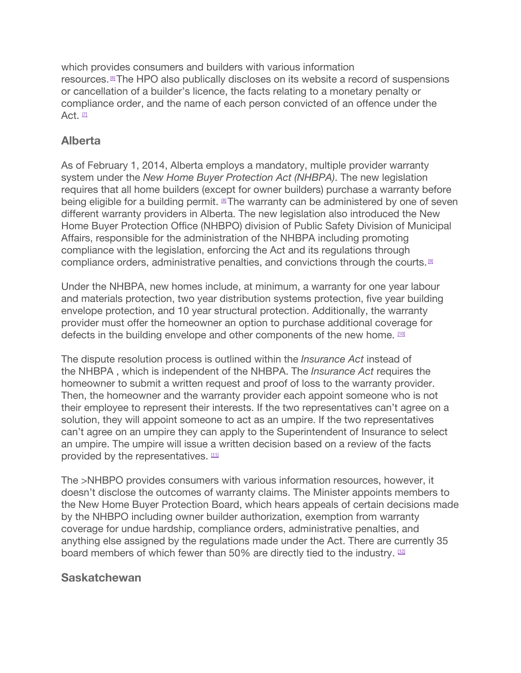which provides consumers and builders with various information resources.<sup>[\[6\]](https://www.ontario.ca/#foot-6)</sup>The HPO also publically discloses on its website a record of suspensions or cancellation of a builder's licence, the facts relating to a monetary penalty or compliance order, and the name of each person convicted of an offence under the Act.  $\Box$ 

## **Alberta**

As of February 1, 2014, Alberta employs a mandatory, multiple provider warranty system under the *New Home Buyer Protection Act (NHBPA)*. The new legislation requires that all home builders (except for owner builders) purchase a warranty before being eligible for a building permit. <sup>®</sup>The warranty can be administered by one of seven different warranty providers in Alberta. The new legislation also introduced the New Home Buyer Protection Office (NHBPO) division of Public Safety Division of Municipal Affairs, responsible for the administration of the NHBPA including promoting compliance with the legislation, enforcing the Act and its regulations through compliance orders, administrative penalties, and convictions through the courts. <sup>[\[9\]](https://www.ontario.ca/#foot-9)</sup>

Under the NHBPA, new homes include, at minimum, a warranty for one year labour and materials protection, two year distribution systems protection, five year building envelope protection, and 10 year structural protection. Additionally, the warranty provider must offer the homeowner an option to purchase additional coverage for defects in the building envelope and other components of the new home. [\[10\]](https://www.ontario.ca/#foot-10)

The dispute resolution process is outlined within the *Insurance Act* instead of the NHBPA , which is independent of the NHBPA. The *Insurance Act* requires the homeowner to submit a written request and proof of loss to the warranty provider. Then, the homeowner and the warranty provider each appoint someone who is not their employee to represent their interests. If the two representatives can't agree on a solution, they will appoint someone to act as an umpire. If the two representatives can't agree on an umpire they can apply to the Superintendent of Insurance to select an umpire. The umpire will issue a written decision based on a review of the facts provided by the representatives. [\[11\]](https://www.ontario.ca/#foot-11)

The >NHBPO provides consumers with various information resources, however, it doesn't disclose the outcomes of warranty claims. The Minister appoints members to the New Home Buyer Protection Board, which hears appeals of certain decisions made by the NHBPO including owner builder authorization, exemption from warranty coverage for undue hardship, compliance orders, administrative penalties, and anything else assigned by the regulations made under the Act. There are currently 35 board members of which fewer than 50% are directly tied to the industry. [\[12\]](https://www.ontario.ca/#foot-12)

#### **Saskatchewan**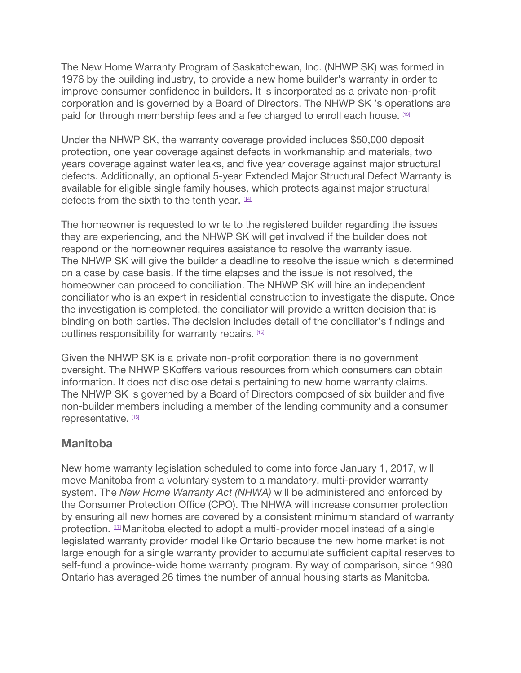The New Home Warranty Program of Saskatchewan, Inc. (NHWP SK) was formed in 1976 by the building industry, to provide a new home builder's warranty in order to improve consumer confidence in builders. It is incorporated as a private non-profit corporation and is governed by a Board of Directors. The NHWP SK 's operations are paid for through membership fees and a fee charged to enroll each house. [\[13\]](https://www.ontario.ca/#foot-13)

Under the NHWP SK, the warranty coverage provided includes \$50,000 deposit protection, one year coverage against defects in workmanship and materials, two years coverage against water leaks, and five year coverage against major structural defects. Additionally, an optional 5-year Extended Major Structural Defect Warranty is available for eligible single family houses, which protects against major structural defects from the sixth to the tenth year.  $114$ 

The homeowner is requested to write to the registered builder regarding the issues they are experiencing, and the NHWP SK will get involved if the builder does not respond or the homeowner requires assistance to resolve the warranty issue. The NHWP SK will give the builder a deadline to resolve the issue which is determined on a case by case basis. If the time elapses and the issue is not resolved, the homeowner can proceed to conciliation. The NHWP SK will hire an independent conciliator who is an expert in residential construction to investigate the dispute. Once the investigation is completed, the conciliator will provide a written decision that is binding on both parties. The decision includes detail of the conciliator's findings and outlines responsibility for warranty repairs. [\[15\]](https://www.ontario.ca/#foot-15)

Given the NHWP SK is a private non-profit corporation there is no government oversight. The NHWP SKoffers various resources from which consumers can obtain information. It does not disclose details pertaining to new home warranty claims. The NHWP SK is governed by a Board of Directors composed of six builder and five non-builder members including a member of the lending community and a consumer representative. [\[16\]](https://www.ontario.ca/#foot-16)

## **Manitoba**

New home warranty legislation scheduled to come into force January 1, 2017, will move Manitoba from a voluntary system to a mandatory, multi-provider warranty system. The *New Home Warranty Act (NHWA)* will be administered and enforced by the Consumer Protection Office (CPO). The NHWA will increase consumer protection by ensuring all new homes are covered by a consistent minimum standard of warranty protection. [\[17\]](https://www.ontario.ca/#foot-17) Manitoba elected to adopt a multi-provider model instead of a single legislated warranty provider model like Ontario because the new home market is not large enough for a single warranty provider to accumulate sufficient capital reserves to self-fund a province-wide home warranty program. By way of comparison, since 1990 Ontario has averaged 26 times the number of annual housing starts as Manitoba.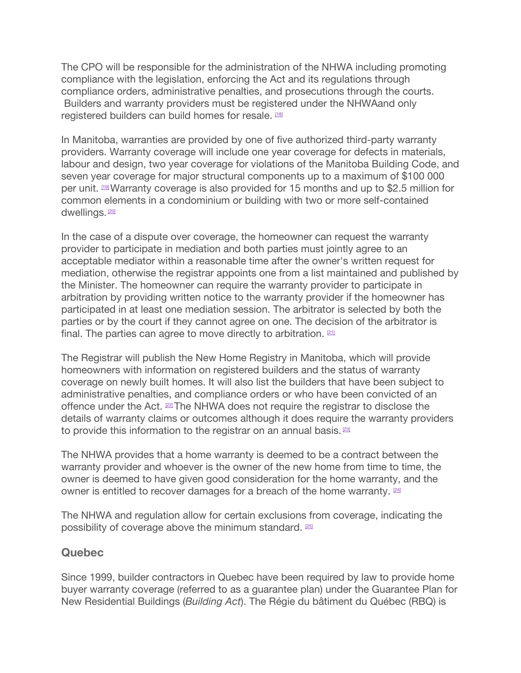The CPO will be responsible for the administration of the NHWA including promoting compliance with the legislation, enforcing the Act and its regulations through compliance orders, administrative penalties, and prosecutions through the courts. Builders and warranty providers must be registered under the NHWAand only registered builders can build homes for resale. [\[18\]](https://www.ontario.ca/#foot-18)

In Manitoba, warranties are provided by one of five authorized third-party warranty providers. Warranty coverage will include one year coverage for defects in materials, labour and design, two year coverage for violations of the Manitoba Building Code, and seven year coverage for major structural components up to a maximum of \$100 000 per unit. **199** Warranty coverage is also provided for 15 months and up to \$2.5 million for common elements in a condominium or building with two or more self-contained dwellings.<sup>[\[20\]](https://www.ontario.ca/#foot-20)</sup>

In the case of a dispute over coverage, the homeowner can request the warranty provider to participate in mediation and both parties must jointly agree to an acceptable mediator within a reasonable time after the owner's written request for mediation, otherwise the registrar appoints one from a list maintained and published by the Minister. The homeowner can require the warranty provider to participate in arbitration by providing written notice to the warranty provider if the homeowner has participated in at least one mediation session. The arbitrator is selected by both the parties or by the court if they cannot agree on one. The decision of the arbitrator is final. The parties can agree to move directly to arbitration.  $21$ 

The Registrar will publish the New Home Registry in Manitoba, which will provide homeowners with information on registered builders and the status of warranty coverage on newly built homes. It will also list the builders that have been subject to administrative penalties, and compliance orders or who have been convicted of an offence under the Act. **[\[22\]](https://www.ontario.ca/#foot-22)** The NHWA does not require the registrar to disclose the details of warranty claims or outcomes although it does require the warranty providers to provide this information to the registrar on an annual basis. <sup>[\[23\]](https://www.ontario.ca/#foot-23)</sup>

The NHWA provides that a home warranty is deemed to be a contract between the warranty provider and whoever is the owner of the new home from time to time, the owner is deemed to have given good consideration for the home warranty, and the owner is entitled to recover damages for a breach of the home warranty. [\[24\]](https://www.ontario.ca/#foot-24)

The NHWA and regulation allow for certain exclusions from coverage, indicating the possibility of coverage above the minimum standard. [\[25\]](https://www.ontario.ca/#foot-25)

## **Quebec**

Since 1999, builder contractors in Quebec have been required by law to provide home buyer warranty coverage (referred to as a guarantee plan) under the Guarantee Plan for New Residential Buildings (*Building Act*). The Régie du bâtiment du Québec (RBQ) is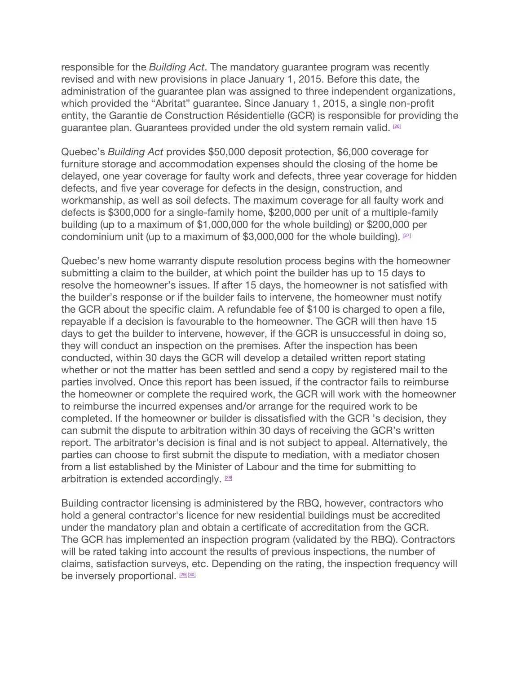responsible for the *Building Act*. The mandatory guarantee program was recently revised and with new provisions in place January 1, 2015. Before this date, the administration of the guarantee plan was assigned to three independent organizations, which provided the "Abritat" guarantee. Since January 1, 2015, a single non-profit entity, the Garantie de Construction Résidentielle (GCR) is responsible for providing the guarantee plan. Guarantees provided under the old system remain valid. **[\[26\]](https://www.ontario.ca/#foot-26)** 

Quebec's *Building Act* provides \$50,000 deposit protection, \$6,000 coverage for furniture storage and accommodation expenses should the closing of the home be delayed, one year coverage for faulty work and defects, three year coverage for hidden defects, and five year coverage for defects in the design, construction, and workmanship, as well as soil defects. The maximum coverage for all faulty work and defects is \$300,000 for a single-family home, \$200,000 per unit of a multiple-family building (up to a maximum of \$1,000,000 for the whole building) or \$200,000 per condominium unit (up to a maximum of  $$3,000,000$  for the whole building).  $27$ 

Quebec's new home warranty dispute resolution process begins with the homeowner submitting a claim to the builder, at which point the builder has up to 15 days to resolve the homeowner's issues. If after 15 days, the homeowner is not satisfied with the builder's response or if the builder fails to intervene, the homeowner must notify the GCR about the specific claim. A refundable fee of \$100 is charged to open a file, repayable if a decision is favourable to the homeowner. The GCR will then have 15 days to get the builder to intervene, however, if the GCR is unsuccessful in doing so, they will conduct an inspection on the premises. After the inspection has been conducted, within 30 days the GCR will develop a detailed written report stating whether or not the matter has been settled and send a copy by registered mail to the parties involved. Once this report has been issued, if the contractor fails to reimburse the homeowner or complete the required work, the GCR will work with the homeowner to reimburse the incurred expenses and/or arrange for the required work to be completed. If the homeowner or builder is dissatisfied with the GCR 's decision, they can submit the dispute to arbitration within 30 days of receiving the GCR's written report. The arbitrator's decision is final and is not subject to appeal. Alternatively, the parties can choose to first submit the dispute to mediation, with a mediator chosen from a list established by the Minister of Labour and the time for submitting to arbitration is extended accordingly. [\[28\]](https://www.ontario.ca/#foot-28)

Building contractor licensing is administered by the RBQ, however, contractors who hold a general contractor's licence for new residential buildings must be accredited under the mandatory plan and obtain a certificate of accreditation from the GCR. The GCR has implemented an inspection program (validated by the RBQ). Contractors will be rated taking into account the results of previous inspections, the number of claims, satisfaction surveys, etc. Depending on the rating, the inspection frequency will be inversely proportional. **[\[29\]](https://www.ontario.ca/#foot-29) [\[30\]](https://www.ontario.ca/#foot-30)**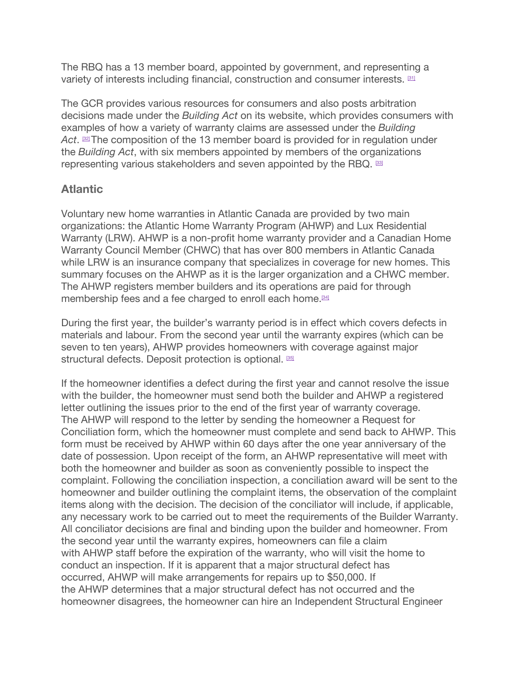The RBQ has a 13 member board, appointed by government, and representing a variety of interests including financial, construction and consumer interests. **[\[31\]](https://www.ontario.ca/#foot-31)** 

The GCR provides various resources for consumers and also posts arbitration decisions made under the *Building Act* on its website, which provides consumers with examples of how a variety of warranty claims are assessed under the *Building* Act.  $\stackrel{\text{\tiny 32}}{\phantom{}_{2}}$ The composition of the 13 member board is provided for in regulation under the *Building Act*, with six members appointed by members of the organizations representing various stakeholders and seven appointed by the RBQ. [\[33\]](https://www.ontario.ca/#foot-33)

## **Atlantic**

Voluntary new home warranties in Atlantic Canada are provided by two main organizations: the Atlantic Home Warranty Program (AHWP) and Lux Residential Warranty (LRW). AHWP is a non-profit home warranty provider and a Canadian Home Warranty Council Member (CHWC) that has over 800 members in Atlantic Canada while LRW is an insurance company that specializes in coverage for new homes. This summary focuses on the AHWP as it is the larger organization and a CHWC member. The AHWP registers member builders and its operations are paid for through membership fees and a fee charged to enroll each home.<sup>[\[34\]](https://www.ontario.ca/#foot-34)</sup>

During the first year, the builder's warranty period is in effect which covers defects in materials and labour. From the second year until the warranty expires (which can be seven to ten years), AHWP provides homeowners with coverage against major structural defects. Deposit protection is optional. [\[35\]](https://www.ontario.ca/#foot-35)

If the homeowner identifies a defect during the first year and cannot resolve the issue with the builder, the homeowner must send both the builder and AHWP a registered letter outlining the issues prior to the end of the first year of warranty coverage. The AHWP will respond to the letter by sending the homeowner a Request for Conciliation form, which the homeowner must complete and send back to AHWP. This form must be received by AHWP within 60 days after the one year anniversary of the date of possession. Upon receipt of the form, an AHWP representative will meet with both the homeowner and builder as soon as conveniently possible to inspect the complaint. Following the conciliation inspection, a conciliation award will be sent to the homeowner and builder outlining the complaint items, the observation of the complaint items along with the decision. The decision of the conciliator will include, if applicable, any necessary work to be carried out to meet the requirements of the Builder Warranty. All conciliator decisions are final and binding upon the builder and homeowner. From the second year until the warranty expires, homeowners can file a claim with AHWP staff before the expiration of the warranty, who will visit the home to conduct an inspection. If it is apparent that a major structural defect has occurred, AHWP will make arrangements for repairs up to \$50,000. If the AHWP determines that a major structural defect has not occurred and the homeowner disagrees, the homeowner can hire an Independent Structural Engineer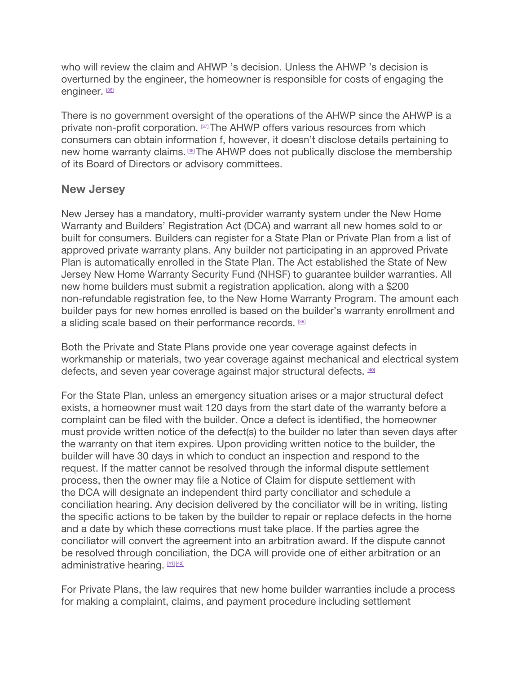who will review the claim and AHWP 's decision. Unless the AHWP 's decision is overturned by the engineer, the homeowner is responsible for costs of engaging the engineer. [\[36\]](https://www.ontario.ca/#foot-36)

There is no government oversight of the operations of the AHWP since the AHWP is a private non-profit corporation. <sup>[\[37\]](https://www.ontario.ca/#foot-37)</sup>The AHWP offers various resources from which consumers can obtain information f, however, it doesn't disclose details pertaining to new home warranty claims.<sup>[\[38\]](https://www.ontario.ca/#foot-38)</sup>The AHWP does not publically disclose the membership of its Board of Directors or advisory committees.

### **New Jersey**

New Jersey has a mandatory, multi-provider warranty system under the New Home Warranty and Builders' Registration Act (DCA) and warrant all new homes sold to or built for consumers. Builders can register for a State Plan or Private Plan from a list of approved private warranty plans. Any builder not participating in an approved Private Plan is automatically enrolled in the State Plan. The Act established the State of New Jersey New Home Warranty Security Fund (NHSF) to guarantee builder warranties. All new home builders must submit a registration application, along with a \$200 non-refundable registration fee, to the New Home Warranty Program. The amount each builder pays for new homes enrolled is based on the builder's warranty enrollment and a sliding scale based on their performance records. [\[39\]](https://www.ontario.ca/#foot-39)

Both the Private and State Plans provide one year coverage against defects in workmanship or materials, two year coverage against mechanical and electrical system defects, and seven year coverage against major structural defects.  $40$ 

For the State Plan, unless an emergency situation arises or a major structural defect exists, a homeowner must wait 120 days from the start date of the warranty before a complaint can be filed with the builder. Once a defect is identified, the homeowner must provide written notice of the defect(s) to the builder no later than seven days after the warranty on that item expires. Upon providing written notice to the builder, the builder will have 30 days in which to conduct an inspection and respond to the request. If the matter cannot be resolved through the informal dispute settlement process, then the owner may file a Notice of Claim for dispute settlement with the DCA will designate an independent third party conciliator and schedule a conciliation hearing. Any decision delivered by the conciliator will be in writing, listing the specific actions to be taken by the builder to repair or replace defects in the home and a date by which these corrections must take place. If the parties agree the conciliator will convert the agreement into an arbitration award. If the dispute cannot be resolved through conciliation, the DCA will provide one of either arbitration or an administrative hearing. [\[41\]](https://www.ontario.ca/#foot-41) [\[42\]](https://www.ontario.ca/#foot-42)

For Private Plans, the law requires that new home builder warranties include a process for making a complaint, claims, and payment procedure including settlement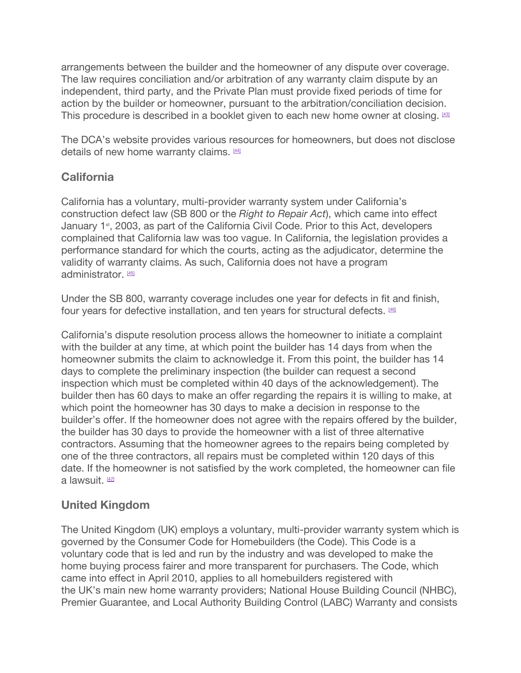arrangements between the builder and the homeowner of any dispute over coverage. The law requires conciliation and/or arbitration of any warranty claim dispute by an independent, third party, and the Private Plan must provide fixed periods of time for action by the builder or homeowner, pursuant to the arbitration/conciliation decision. This procedure is described in a booklet given to each new home owner at closing. [\[43\]](https://www.ontario.ca/#foot-43)

The DCA's website provides various resources for homeowners, but does not disclose details of new home warranty claims. [\[44\]](https://www.ontario.ca/#foot-44)

## **California**

California has a voluntary, multi-provider warranty system under California's construction defect law (SB 800 or the *Right to Repair Act*), which came into effect January 1<sup>st</sup>, 2003, as part of the California Civil Code. Prior to this Act, developers complained that California law was too vague. In California, the legislation provides a performance standard for which the courts, acting as the adjudicator, determine the validity of warranty claims. As such, California does not have a program administrator. [\[45\]](https://www.ontario.ca/#foot-45)

Under the SB 800, warranty coverage includes one year for defects in fit and finish, four years for defective installation, and ten years for structural defects. [\[46\]](https://www.ontario.ca/#foot-46)

California's dispute resolution process allows the homeowner to initiate a complaint with the builder at any time, at which point the builder has 14 days from when the homeowner submits the claim to acknowledge it. From this point, the builder has 14 days to complete the preliminary inspection (the builder can request a second inspection which must be completed within 40 days of the acknowledgement). The builder then has 60 days to make an offer regarding the repairs it is willing to make, at which point the homeowner has 30 days to make a decision in response to the builder's offer. If the homeowner does not agree with the repairs offered by the builder, the builder has 30 days to provide the homeowner with a list of three alternative contractors. Assuming that the homeowner agrees to the repairs being completed by one of the three contractors, all repairs must be completed within 120 days of this date. If the homeowner is not satisfied by the work completed, the homeowner can file a lawsuit.  $47$ 

## **United Kingdom**

The United Kingdom (UK) employs a voluntary, multi-provider warranty system which is governed by the Consumer Code for Homebuilders (the Code). This Code is a voluntary code that is led and run by the industry and was developed to make the home buying process fairer and more transparent for purchasers. The Code, which came into effect in April 2010, applies to all homebuilders registered with the UK's main new home warranty providers; National House Building Council (NHBC), Premier Guarantee, and Local Authority Building Control (LABC) Warranty and consists